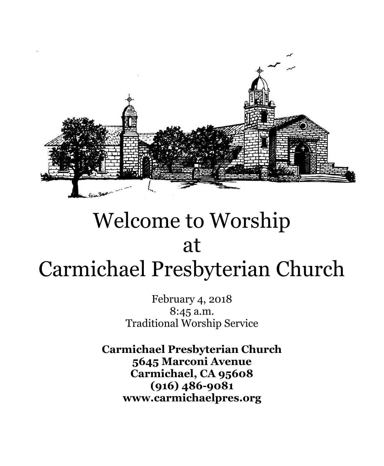

# Welcome to Worship at Carmichael Presbyterian Church

February 4, 2018 8:45 a.m. Traditional Worship Service

**Carmichael Presbyterian Church 5645 Marconi Avenue Carmichael, CA 95608 (916) 486-9081 www.carmichaelpres.org**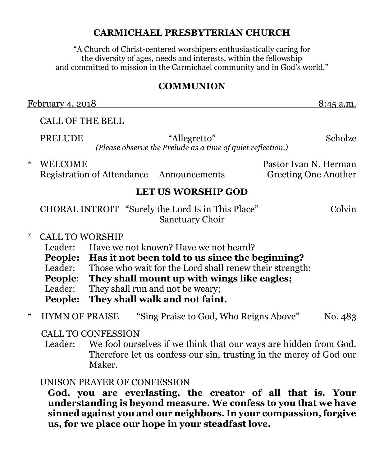## **CARMICHAEL PRESBYTERIAN CHURCH**

"A Church of Christ-centered worshipers enthusiastically caring for the diversity of ages, needs and interests, within the fellowship and committed to mission in the Carmichael community and in God's world."

## **COMMUNION**

February 4, 2018  $8:45$  a.m.

CALL OF THE BELL

PRELUDE "Allegretto" Scholze *(Please observe the Prelude as a time of quiet reflection.)*

\* WELCOME Pastor Ivan N. Herman Registration of Attendance Announcements Greeting One Another

# **LET US WORSHIP GOD**

| CHORAL INTROIT "Surely the Lord Is in This Place" | Colvin |
|---------------------------------------------------|--------|
| <b>Sanctuary Choir</b>                            |        |

# \* CALL TO WORSHIP

- Leader: Have we not known? Have we not heard?
- **People: Has it not been told to us since the beginning?**
- Leader: Those who wait for the Lord shall renew their strength;
- **People**: **They shall mount up with wings like eagles;**
- Leader: They shall run and not be weary;

**People: They shall walk and not faint.**

\* HYMN OF PRAISE "Sing Praise to God, Who Reigns Above" No. 483

# CALL TO CONFESSION

Leader: We fool ourselves if we think that our ways are hidden from God. Therefore let us confess our sin, trusting in the mercy of God our Maker.

# UNISON PRAYER OF CONFESSION

**God, you are everlasting, the creator of all that is. Your understanding is beyond measure. We confess to you that we have sinned against you and our neighbors. In your compassion, forgive us, for we place our hope in your steadfast love.**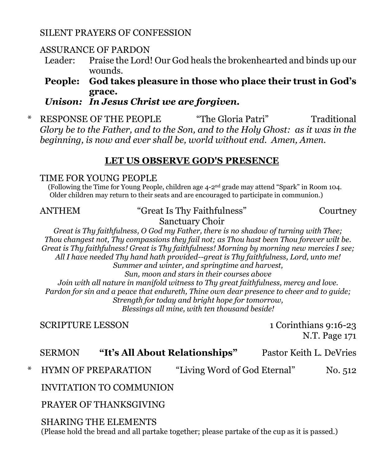### SILENT PRAYERS OF CONFESSION

#### ASSURANCE OF PARDON

Leader: Praise the Lord! Our God heals the brokenhearted and binds up our wounds.

# **People: God takes pleasure in those who place their trust in God's grace.**

*Unison: In Jesus Christ we are forgiven.*

**RESPONSE OF THE PEOPLE "The Gloria Patri" Traditional** *Glory be to the Father, and to the Son, and to the Holy Ghost: as it was in the beginning, is now and ever shall be, world without end. Amen, Amen.*

# **LET US OBSERVE GOD'S PRESENCE**

#### TIME FOR YOUNG PEOPLE

(Following the Time for Young People, children age 4-2<sup>nd</sup> grade may attend "Spark" in Room 104. Older children may return to their seats and are encouraged to participate in communion.)

ANTHEM "Great Is Thy Faithfulness" Courtney

Sanctuary Choir

*Great is Thy faithfulness, O God my Father, there is no shadow of turning with Thee; Thou changest not, Thy compassions they fail not; as Thou hast been Thou forever wilt be. Great is Thy faithfulness! Great is Thy faithfulness! Morning by morning new mercies I see; All I have needed Thy hand hath provided--great is Thy faithfulness, Lord, unto me! Summer and winter, and springtime and harvest, Sun, moon and stars in their courses above Join with all nature in manifold witness to Thy great faithfulness, mercy and love.*

*Pardon for sin and a peace that endureth, Thine own dear presence to cheer and to guide; Strength for today and bright hope for tomorrow, Blessings all mine, with ten thousand beside!*

### SCRIPTURE LESSON 1 Corinthians 9:16-23

N.T. Page 171

| <b>SERMON</b> | "It's All About Relationships" | Pastor Keith L. DeVries |
|---------------|--------------------------------|-------------------------|
|               |                                |                         |

# \* HYMN OF PREPARATION "Living Word of God Eternal" No. 512

INVITATION TO COMMUNION

PRAYER OF THANKSGIVING

#### SHARING THE ELEMENTS

(Please hold the bread and all partake together; please partake of the cup as it is passed.)